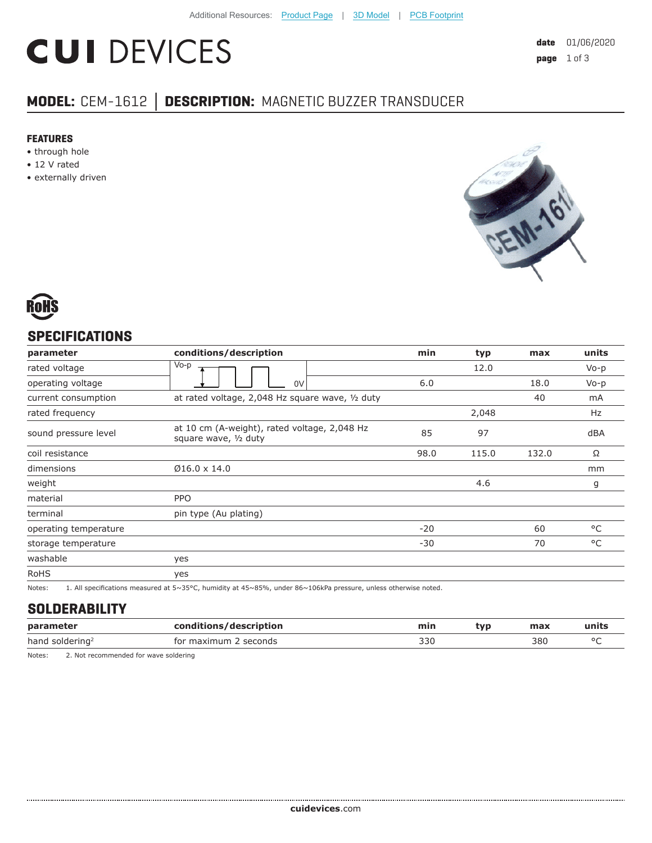# **CUI DEVICES**

# **MODEL:** CEM-1612 **│ DESCRIPTION:** MAGNETIC BUZZER TRANSDUCER

#### **FEATURES**

- through hole
- 12 V rated
- externally driven





### **SPECIFICATIONS**

| parameter             | conditions/description                                                                                          | min   | typ   | max   | units        |
|-----------------------|-----------------------------------------------------------------------------------------------------------------|-------|-------|-------|--------------|
| rated voltage         | Vo-p                                                                                                            |       | 12.0  |       | $Vo-p$       |
| operating voltage     | 0V                                                                                                              | 6.0   |       | 18.0  | $Vo-p$       |
| current consumption   | at rated voltage, 2,048 Hz square wave, 1/2 duty                                                                |       |       | 40    | mA           |
| rated frequency       |                                                                                                                 |       | 2,048 |       | Hz           |
| sound pressure level  | at 10 cm (A-weight), rated voltage, 2,048 Hz<br>square wave, 1/2 duty                                           | 85    | 97    |       | dBA          |
| coil resistance       |                                                                                                                 | 98.0  | 115.0 | 132.0 | Ω            |
| dimensions            | $Ø16.0 \times 14.0$                                                                                             |       |       |       | mm           |
| weight                |                                                                                                                 |       | 4.6   |       | g            |
| material              | <b>PPO</b>                                                                                                      |       |       |       |              |
| terminal              | pin type (Au plating)                                                                                           |       |       |       |              |
| operating temperature |                                                                                                                 | $-20$ |       | 60    | $^{\circ}$ C |
| storage temperature   |                                                                                                                 | $-30$ |       | 70    | $^{\circ}$ C |
| washable              | yes                                                                                                             |       |       |       |              |
| <b>RoHS</b>           | yes                                                                                                             |       |       |       |              |
| Notes:                | 1. All specifications measured at 5~35°C, humidity at 45~85%, under 86~106kPa pressure, unless otherwise noted. |       |       |       |              |

#### **SOLDERABILITY**

| parameter                   | conditions/description | min | tvp | max | units   |
|-----------------------------|------------------------|-----|-----|-----|---------|
| hand soldering <sup>2</sup> | for maximum 2 seconds  | 330 |     | 380 | $\circ$ |
|                             |                        |     |     |     |         |

Notes: 2. Not recommended for wave soldering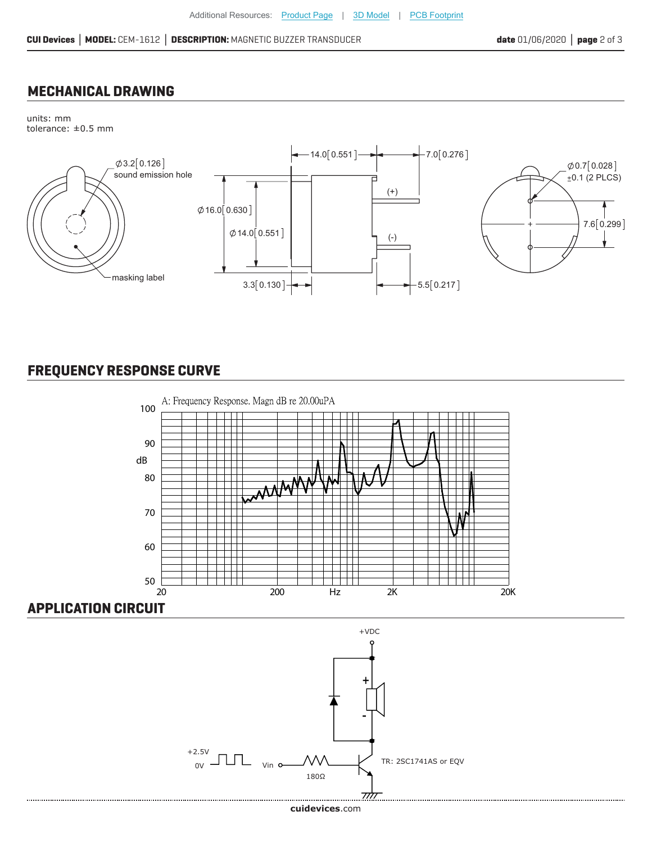#### **MECHANICAL DRAWING**

units: mm tolerance: ±0.5 mm



## **FREQUENCY RESPONSE CURVE**



### **APPLICATION CIRCUIT**



**cui[devices](https://www.cuidevices.com/track?actionLabel=Datasheet-ClickThrough-HomePage&label=CEM-1612.pdf&path=/)**.com